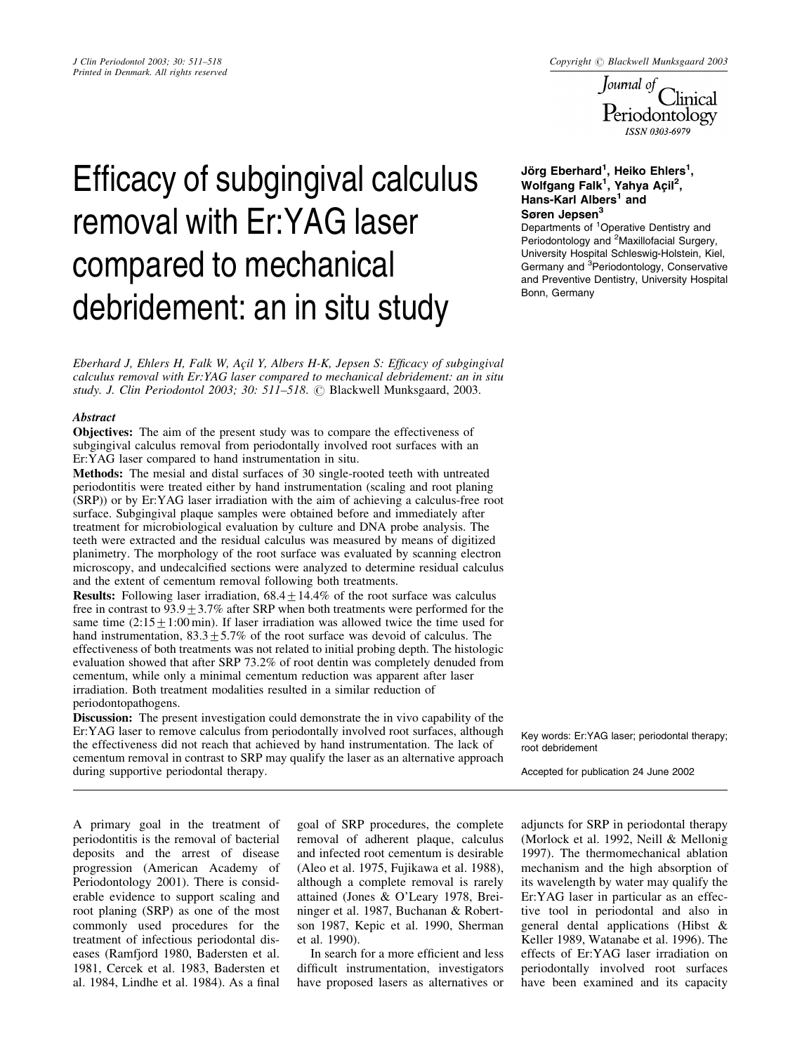*J Clin Periodontol 2003; 30: 511–518*<br>*Printed in Denmark. All rights reserved*<br>*Downal of* Clinical<br>*Downal of* Clinical<br>*Downal of* Clinical Periodontology **ISSN 0303-6979** 

# Efficacy of subgingival calculus removal with Er:YAG laser compared to mechanical debridement: an in situ study

Eberhard J, Ehlers H, Falk W, Acil Y, Albers H-K, Jepsen S: Efficacy of subgingival calculus removal with Er:YAG laser compared to mechanical debridement: an in situ study. J. Clin Periodontol 2003; 30: 511–518. © Blackwell Munksgaard, 2003.

# **Abstract**

**Objectives:** The aim of the present study was to compare the effectiveness of subgingival calculus removal from periodontally involved root surfaces with an Er:YAG laser compared to hand instrumentation in situ.

Methods: The mesial and distal surfaces of 30 single-rooted teeth with untreated periodontitis were treated either by hand instrumentation (scaling and root planing (SRP)) or by Er:YAG laser irradiation with the aim of achieving a calculus-free root surface. Subgingival plaque samples were obtained before and immediately after treatment for microbiological evaluation by culture and DNA probe analysis. The teeth were extracted and the residual calculus was measured by means of digitized planimetry. The morphology of the root surface was evaluated by scanning electron microscopy, and undecalcified sections were analyzed to determine residual calculus and the extent of cementum removal following both treatments.

**Results:** Following laser irradiation,  $68.4 \pm 14.4\%$  of the root surface was calculus free in contrast to  $93.9 \pm 3.7\%$  after SRP when both treatments were performed for the same time  $(2:15 \pm 1:00 \text{ min})$ . If laser irradiation was allowed twice the time used for hand instrumentation,  $83.3 \pm 5.7\%$  of the root surface was devoid of calculus. The effectiveness of both treatments was not related to initial probing depth. The histologic evaluation showed that after SRP 73.2% of root dentin was completely denuded from cementum, while only a minimal cementum reduction was apparent after laser irradiation. Both treatment modalities resulted in a similar reduction of periodontopathogens.

Discussion: The present investigation could demonstrate the in vivo capability of the Er:YAG laser to remove calculus from periodontally involved root surfaces, although the effectiveness did not reach that achieved by hand instrumentation. The lack of cementum removal in contrast to SRP may qualify the laser as an alternative approach during supportive periodontal therapy.

# Jörg Eberhard<sup>1</sup>, Heiko Ehlers<sup>1</sup>, Wolfgang Falk<sup>1</sup>, Yahya Açil<sup>2</sup>, Hans-Karl Albers<sup>1</sup> and Søren Jepsen<sup>3</sup>

Departments of <sup>1</sup>Operative Dentistry and Periodontology and <sup>2</sup>Maxillofacial Surgery, University Hospital Schleswig-Holstein, Kiel, Germany and <sup>3</sup>Periodontology, Conservative and Preventive Dentistry, University Hospital Bonn, Germany

Key words: Er:YAG laser; periodontal therapy; root debridement

Accepted for publication 24 June 2002

A primary goal in the treatment of periodontitis is the removal of bacterial deposits and the arrest of disease progression (American Academy of Periodontology 2001). There is considerable evidence to support scaling and root planing (SRP) as one of the most commonly used procedures for the treatment of infectious periodontal diseases (Ramfjord 1980, Badersten et al. 1981, Cercek et al. 1983, Badersten et al. 1984, Lindhe et al. 1984). As a final

goal of SRP procedures, the complete removal of adherent plaque, calculus and infected root cementum is desirable (Aleo et al. 1975, Fujikawa et al. 1988), although a complete removal is rarely attained (Jones & O'Leary 1978, Breininger et al. 1987, Buchanan & Robertson 1987, Kepic et al. 1990, Sherman et al. 1990).

In search for a more efficient and less difficult instrumentation, investigators have proposed lasers as alternatives or adjuncts for SRP in periodontal therapy (Morlock et al. 1992, Neill & Mellonig 1997). The thermomechanical ablation mechanism and the high absorption of its wavelength by water may qualify the Er:YAG laser in particular as an effective tool in periodontal and also in general dental applications (Hibst & Keller 1989, Watanabe et al. 1996). The effects of Er:YAG laser irradiation on periodontally involved root surfaces have been examined and its capacity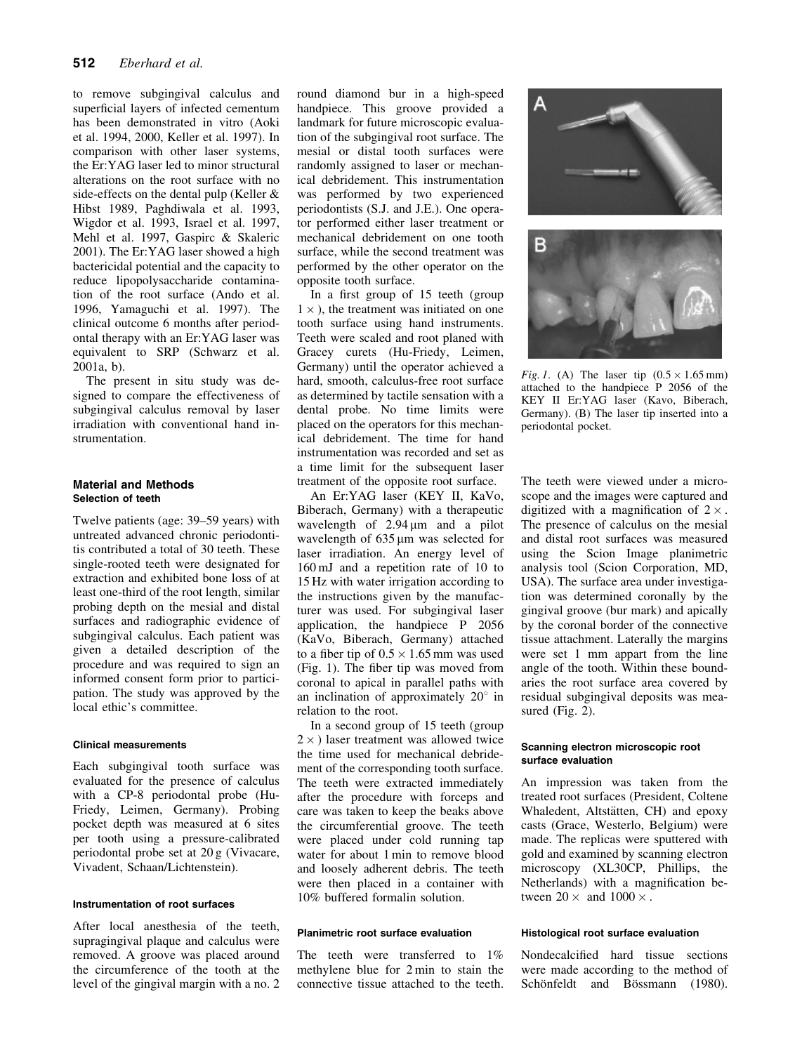to remove subgingival calculus and superficial layers of infected cementum has been demonstrated in vitro (Aoki et al. 1994, 2000, Keller et al. 1997). In comparison with other laser systems, the Er:YAG laser led to minor structural alterations on the root surface with no side-effects on the dental pulp (Keller & Hibst 1989, Paghdiwala et al. 1993, Wigdor et al. 1993, Israel et al. 1997, Mehl et al. 1997, Gaspirc & Skaleric 2001). The Er:YAG laser showed a high bactericidal potential and the capacity to reduce lipopolysaccharide contamination of the root surface (Ando et al. 1996, Yamaguchi et al. 1997). The clinical outcome 6 months after periodontal therapy with an Er:YAG laser was equivalent to SRP (Schwarz et al. 2001a, b).

The present in situ study was designed to compare the effectiveness of subgingival calculus removal by laser irradiation with conventional hand instrumentation.

# Material and Methods Selection of teeth

Twelve patients (age: 39–59 years) with untreated advanced chronic periodontitis contributed a total of 30 teeth. These single-rooted teeth were designated for extraction and exhibited bone loss of at least one-third of the root length, similar probing depth on the mesial and distal surfaces and radiographic evidence of subgingival calculus. Each patient was given a detailed description of the procedure and was required to sign an informed consent form prior to participation. The study was approved by the local ethic's committee.

# Clinical measurements

Each subgingival tooth surface was evaluated for the presence of calculus with a CP-8 periodontal probe (Hu-Friedy, Leimen, Germany). Probing pocket depth was measured at 6 sites per tooth using a pressure-calibrated periodontal probe set at 20 g (Vivacare, Vivadent, Schaan/Lichtenstein).

#### Instrumentation of root surfaces

After local anesthesia of the teeth, supragingival plaque and calculus were removed. A groove was placed around the circumference of the tooth at the level of the gingival margin with a no. 2

round diamond bur in a high-speed handpiece. This groove provided a landmark for future microscopic evaluation of the subgingival root surface. The mesial or distal tooth surfaces were randomly assigned to laser or mechanical debridement. This instrumentation was performed by two experienced periodontists (S.J. and J.E.). One operator performed either laser treatment or mechanical debridement on one tooth surface, while the second treatment was performed by the other operator on the opposite tooth surface.

In a first group of 15 teeth (group  $1 \times$ ), the treatment was initiated on one tooth surface using hand instruments. Teeth were scaled and root planed with Gracey curets (Hu-Friedy, Leimen, Germany) until the operator achieved a hard, smooth, calculus-free root surface as determined by tactile sensation with a dental probe. No time limits were placed on the operators for this mechanical debridement. The time for hand instrumentation was recorded and set as a time limit for the subsequent laser treatment of the opposite root surface.

An Er:YAG laser (KEY II, KaVo, Biberach, Germany) with a therapeutic wavelength of  $2.94 \,\mu m$  and a pilot wavelength of  $635 \mu m$  was selected for laser irradiation. An energy level of 160 mJ and a repetition rate of 10 to 15 Hz with water irrigation according to the instructions given by the manufacturer was used. For subgingival laser application, the handpiece P 2056 (KaVo, Biberach, Germany) attached to a fiber tip of  $0.5 \times 1.65$  mm was used (Fig. 1). The fiber tip was moved from coronal to apical in parallel paths with an inclination of approximately  $20^{\circ}$  in relation to the root.

In a second group of 15 teeth (group  $2 \times$ ) laser treatment was allowed twice the time used for mechanical debridement of the corresponding tooth surface. The teeth were extracted immediately after the procedure with forceps and care was taken to keep the beaks above the circumferential groove. The teeth were placed under cold running tap water for about 1 min to remove blood and loosely adherent debris. The teeth were then placed in a container with 10% buffered formalin solution.

#### Planimetric root surface evaluation

The teeth were transferred to 1% methylene blue for 2 min to stain the connective tissue attached to the teeth.

Fig. 1. (A) The laser tip  $(0.5 \times 1.65 \text{ mm})$ attached to the handpiece P 2056 of the KEY II Er:YAG laser (Kavo, Biberach, Germany). (B) The laser tip inserted into a periodontal pocket.

The teeth were viewed under a microscope and the images were captured and digitized with a magnification of  $2 \times$ . The presence of calculus on the mesial and distal root surfaces was measured using the Scion Image planimetric analysis tool (Scion Corporation, MD, USA). The surface area under investigation was determined coronally by the gingival groove (bur mark) and apically by the coronal border of the connective tissue attachment. Laterally the margins were set 1 mm appart from the line angle of the tooth. Within these boundaries the root surface area covered by residual subgingival deposits was measured (Fig.  $2$ ).

## Scanning electron microscopic root surface evaluation

An impression was taken from the treated root surfaces (President, Coltene Whaledent, Altstätten, CH) and epoxy casts (Grace, Westerlo, Belgium) were made. The replicas were sputtered with gold and examined by scanning electron microscopy (XL30CP, Phillips, the Netherlands) with a magnification between  $20 \times$  and  $1000 \times$ .

#### Histological root surface evaluation

Nondecalcified hard tissue sections were made according to the method of Schönfeldt and Bössmann (1980).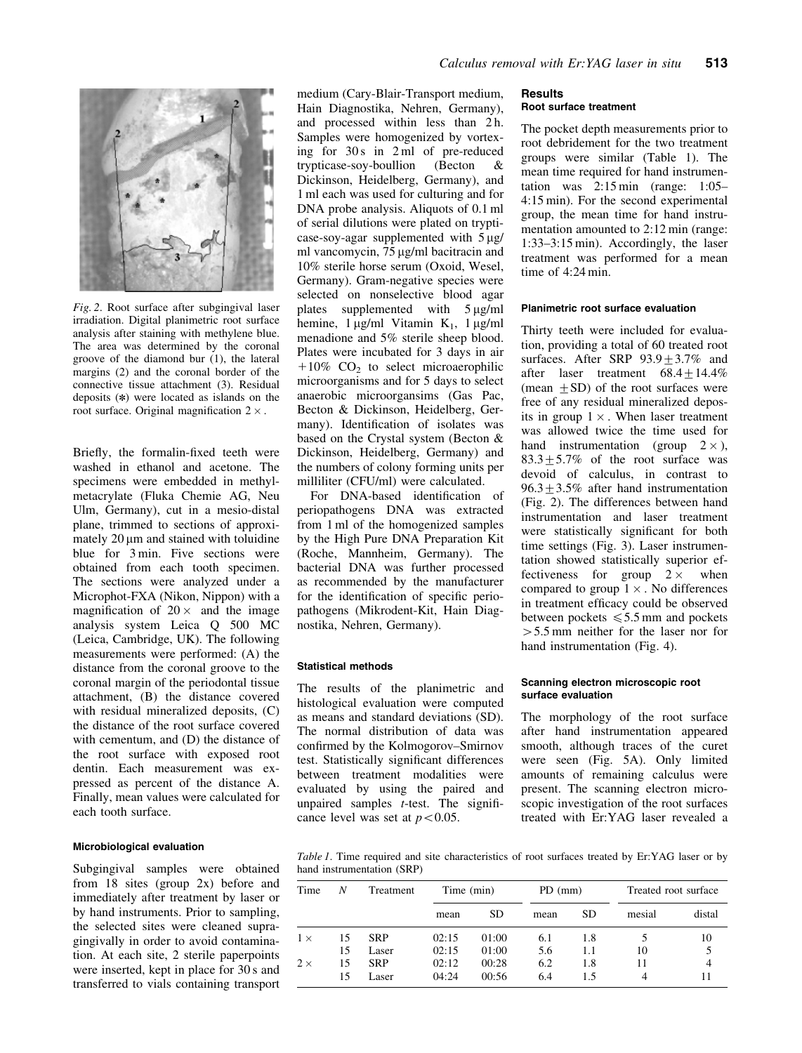

Fig. 2. Root surface after subgingival laser irradiation. Digital planimetric root surface analysis after staining with methylene blue. The area was determined by the coronal groove of the diamond bur (1), the lateral margins (2) and the coronal border of the connective tissue attachment (3). Residual deposits (*n*) were located as islands on the root surface. Original magnification  $2 \times$ .

Briefly, the formalin-fixed teeth were washed in ethanol and acetone. The specimens were embedded in methylmetacrylate (Fluka Chemie AG, Neu Ulm, Germany), cut in a mesio-distal plane, trimmed to sections of approximately  $20 \mu m$  and stained with toluidine blue for 3 min. Five sections were obtained from each tooth specimen. The sections were analyzed under a Microphot-FXA (Nikon, Nippon) with a magnification of  $20 \times$  and the image analysis system Leica Q 500 MC (Leica, Cambridge, UK). The following measurements were performed: (A) the distance from the coronal groove to the coronal margin of the periodontal tissue attachment, (B) the distance covered with residual mineralized deposits, (C) the distance of the root surface covered with cementum, and (D) the distance of the root surface with exposed root dentin. Each measurement was expressed as percent of the distance A. Finally, mean values were calculated for each tooth surface.

## Microbiological evaluation

Subgingival samples were obtained from 18 sites (group 2x) before and immediately after treatment by laser or by hand instruments. Prior to sampling, the selected sites were cleaned supragingivally in order to avoid contamination. At each site, 2 sterile paperpoints were inserted, kept in place for 30 s and transferred to vials containing transport medium (Cary-Blair-Transport medium, Hain Diagnostika, Nehren, Germany), and processed within less than 2h. Samples were homogenized by vortexing for 30 s in 2 ml of pre-reduced trypticase-soy-boullion (Becton & Dickinson, Heidelberg, Germany), and 1 ml each was used for culturing and for DNA probe analysis. Aliquots of 0.1 ml of serial dilutions were plated on trypticase-soy-agar supplemented with  $5 \mu g$ / ml vancomycin, 75 µg/ml bacitracin and 10% sterile horse serum (Oxoid, Wesel, Germany). Gram-negative species were selected on nonselective blood agar plates supplemented with 5 µg/ml hemine,  $1 \mu g/ml$  Vitamin K<sub>1</sub>,  $1 \mu g/ml$ menadione and 5% sterile sheep blood. Plates were incubated for 3 days in air  $+10\%$  CO<sub>2</sub> to select microaerophilic microorganisms and for 5 days to select anaerobic microorgansims (Gas Pac, Becton & Dickinson, Heidelberg, Germany). Identification of isolates was based on the Crystal system (Becton & Dickinson, Heidelberg, Germany) and the numbers of colony forming units per milliliter (CFU/ml) were calculated.

For DNA-based identification of periopathogens DNA was extracted from 1 ml of the homogenized samples by the High Pure DNA Preparation Kit (Roche, Mannheim, Germany). The bacterial DNA was further processed as recommended by the manufacturer for the identification of specific periopathogens (Mikrodent-Kit, Hain Diagnostika, Nehren, Germany).

#### Statistical methods

The results of the planimetric and histological evaluation were computed as means and standard deviations (SD). The normal distribution of data was confirmed by the Kolmogorov–Smirnov test. Statistically significant differences between treatment modalities were evaluated by using the paired and unpaired samples  $t$ -test. The significance level was set at  $p < 0.05$ .

## **Results** Root surface treatment

The pocket depth measurements prior to root debridement for the two treatment groups were similar (Table 1). The mean time required for hand instrumentation was 2:15 min (range: 1:05– 4:15 min). For the second experimental group, the mean time for hand instrumentation amounted to 2:12 min (range: 1:33–3:15 min). Accordingly, the laser treatment was performed for a mean time of 4:24 min.

#### Planimetric root surface evaluation

Thirty teeth were included for evaluation, providing a total of 60 treated root surfaces. After SRP  $93.9 \pm 3.7\%$  and after laser treatment  $68.4 \pm 14.4\%$ (mean  $\pm$  SD) of the root surfaces were free of any residual mineralized deposits in group  $1 \times$ . When laser treatment was allowed twice the time used for hand instrumentation (group  $2 \times$ ),  $83.3+5.7\%$  of the root surface was devoid of calculus, in contrast to  $96.3+3.5%$  after hand instrumentation (Fig. 2). The differences between hand instrumentation and laser treatment were statistically significant for both time settings (Fig. 3). Laser instrumentation showed statistically superior effectiveness for group  $2 \times$  when compared to group  $1 \times$ . No differences in treatment efficacy could be observed between pockets  $\leq 5.5$  mm and pockets  $>5.5$  mm neither for the laser nor for hand instrumentation (Fig. 4).

## Scanning electron microscopic root surface evaluation

The morphology of the root surface after hand instrumentation appeared smooth, although traces of the curet were seen (Fig. 5A). Only limited amounts of remaining calculus were present. The scanning electron microscopic investigation of the root surfaces treated with Er:YAG laser revealed a

Table 1. Time required and site characteristics of root surfaces treated by Er:YAG laser or by hand instrumentation (SRP)

| Time       | N  | Treatment  | Time (min) |       | $PD$ (mm) |     | Treated root surface |        |  |  |
|------------|----|------------|------------|-------|-----------|-----|----------------------|--------|--|--|
|            |    |            | mean       | SD    | mean      | SD  | mesial               | distal |  |  |
| $1 \times$ | 15 | <b>SRP</b> | 02:15      | 01:00 | 6.1       | 1.8 |                      | 10     |  |  |
|            | 15 | Laser      | 02:15      | 01:00 | 5.6       | 1.1 | 10                   |        |  |  |
| $2 \times$ | 15 | <b>SRP</b> | 02:12      | 00:28 | 6.2       | 1.8 | 11                   |        |  |  |
|            | 15 | Laser      | 04:24      | 00:56 | 6.4       | 1.5 | 4                    |        |  |  |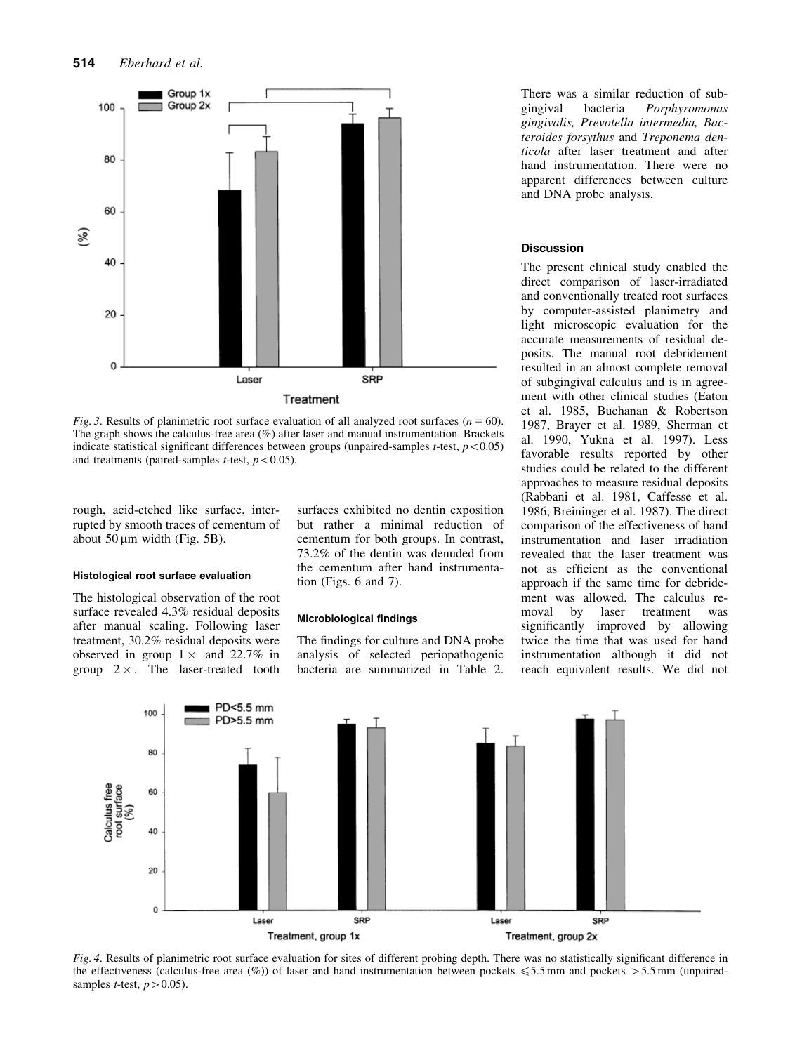

Fig. 3. Results of planimetric root surface evaluation of all analyzed root surfaces ( $n = 60$ ). The graph shows the calculus-free area (%) after laser and manual instrumentation. Brackets indicate statistical significant differences between groups (unpaired-samples t-test,  $p < 0.05$ ) and treatments (paired-samples *t*-test,  $p < 0.05$ ).

rough, acid-etched like surface, interrupted by smooth traces of cementum of about  $50 \mu m$  width (Fig. 5B).

# Histological root surface evaluation

The histological observation of the root surface revealed 4.3% residual deposits after manual scaling. Following laser treatment, 30.2% residual deposits were observed in group  $1 \times$  and 22.7% in group  $2 \times$ . The laser-treated tooth surfaces exhibited no dentin exposition but rather a minimal reduction of cementum for both groups. In contrast, 73.2% of the dentin was denuded from the cementum after hand instrumentation (Figs. 6 and 7).

#### Microbiological findings

The findings for culture and DNA probe analysis of selected periopathogenic bacteria are summarized in Table 2.

There was a similar reduction of sub-<br>gingival bacteria *Porphyromonas* bacteria Porphyromonas gingivalis, Prevotella intermedia, Bacteroides forsythus and Treponema denticola after laser treatment and after hand instrumentation. There were no apparent differences between culture and DNA probe analysis.

#### Discussion

The present clinical study enabled the direct comparison of laser-irradiated and conventionally treated root surfaces by computer-assisted planimetry and light microscopic evaluation for the accurate measurements of residual deposits. The manual root debridement resulted in an almost complete removal of subgingival calculus and is in agreement with other clinical studies (Eaton et al. 1985, Buchanan & Robertson 1987, Brayer et al. 1989, Sherman et al. 1990, Yukna et al. 1997). Less favorable results reported by other studies could be related to the different approaches to measure residual deposits (Rabbani et al. 1981, Caffesse et al. 1986, Breininger et al. 1987). The direct comparison of the effectiveness of hand instrumentation and laser irradiation revealed that the laser treatment was not as efficient as the conventional approach if the same time for debridement was allowed. The calculus removal by laser treatment was significantly improved by allowing twice the time that was used for hand instrumentation although it did not reach equivalent results. We did not



Fig. 4. Results of planimetric root surface evaluation for sites of different probing depth. There was no statistically significant difference in the effectiveness (calculus-free area  $(\%)$ ) of laser and hand instrumentation between pockets  $\leq 5.5$  mm and pockets  $> 5.5$  mm (unpairedsamples *t*-test,  $p > 0.05$ ).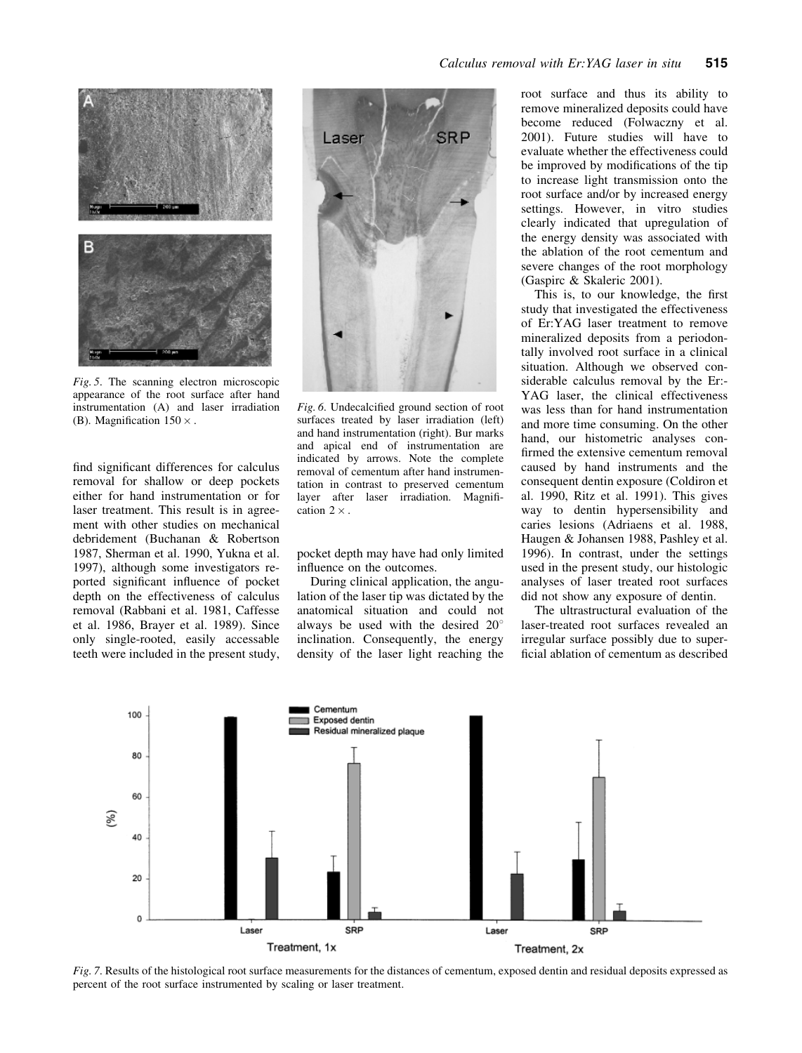

Fig. 5. The scanning electron microscopic appearance of the root surface after hand instrumentation (A) and laser irradiation (B). Magnification  $150 \times$ .

find significant differences for calculus removal for shallow or deep pockets either for hand instrumentation or for laser treatment. This result is in agreement with other studies on mechanical debridement (Buchanan & Robertson 1987, Sherman et al. 1990, Yukna et al. 1997), although some investigators reported significant influence of pocket depth on the effectiveness of calculus removal (Rabbani et al. 1981, Caffesse et al. 1986, Brayer et al. 1989). Since only single-rooted, easily accessable teeth were included in the present study,



Fig. 6. Undecalcified ground section of root surfaces treated by laser irradiation (left) and hand instrumentation (right). Bur marks and apical end of instrumentation are indicated by arrows. Note the complete removal of cementum after hand instrumentation in contrast to preserved cementum layer after laser irradiation. Magnification  $2 \times$ 

pocket depth may have had only limited influence on the outcomes.

During clinical application, the angulation of the laser tip was dictated by the anatomical situation and could not always be used with the desired  $20^{\circ}$ inclination. Consequently, the energy density of the laser light reaching the root surface and thus its ability to remove mineralized deposits could have become reduced (Folwaczny et al. 2001). Future studies will have to evaluate whether the effectiveness could be improved by modifications of the tip to increase light transmission onto the root surface and/or by increased energy settings. However, in vitro studies clearly indicated that upregulation of the energy density was associated with the ablation of the root cementum and severe changes of the root morphology (Gaspirc & Skaleric 2001).

This is, to our knowledge, the first study that investigated the effectiveness of Er:YAG laser treatment to remove mineralized deposits from a periodontally involved root surface in a clinical situation. Although we observed considerable calculus removal by the Er:- YAG laser, the clinical effectiveness was less than for hand instrumentation and more time consuming. On the other hand, our histometric analyses confirmed the extensive cementum removal caused by hand instruments and the consequent dentin exposure (Coldiron et al. 1990, Ritz et al. 1991). This gives way to dentin hypersensibility and caries lesions (Adriaens et al. 1988, Haugen & Johansen 1988, Pashley et al. 1996). In contrast, under the settings used in the present study, our histologic analyses of laser treated root surfaces did not show any exposure of dentin.

The ultrastructural evaluation of the laser-treated root surfaces revealed an irregular surface possibly due to superficial ablation of cementum as described



Fig. 7. Results of the histological root surface measurements for the distances of cementum, exposed dentin and residual deposits expressed as percent of the root surface instrumented by scaling or laser treatment.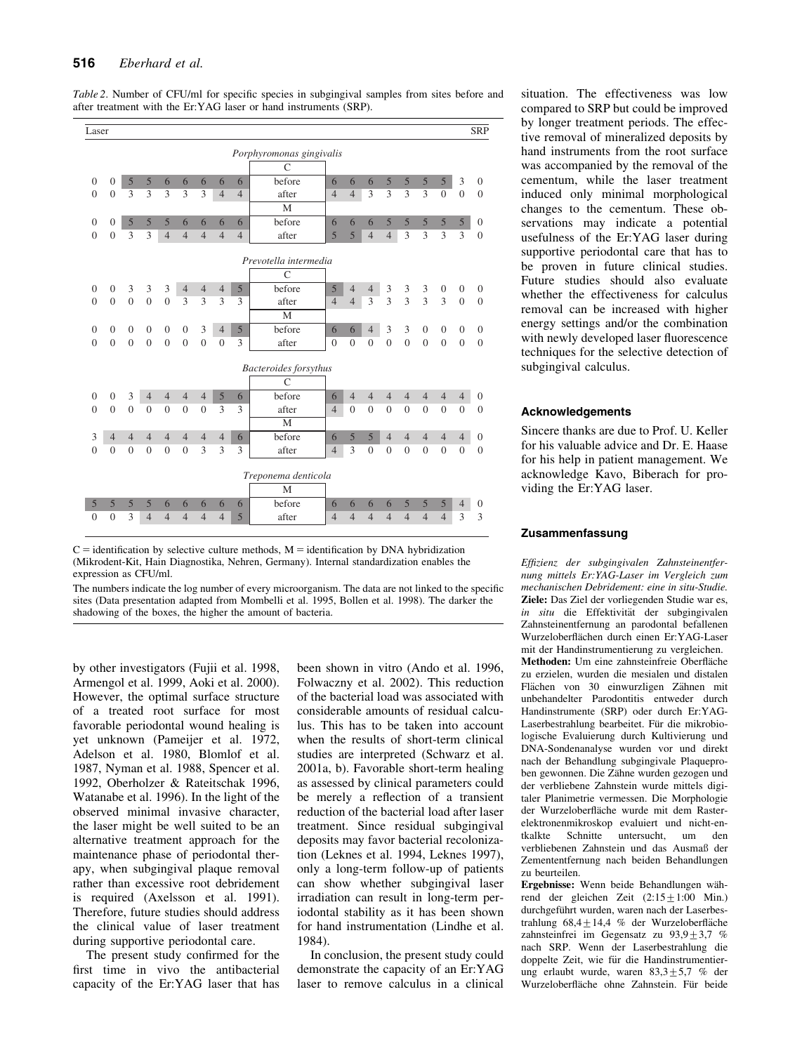| Laser                                     |                  |                |                |                |                     |                     |                     |                |            |                |                |                         |                |                |                  |                 |                | <b>SRP</b>     |
|-------------------------------------------|------------------|----------------|----------------|----------------|---------------------|---------------------|---------------------|----------------|------------|----------------|----------------|-------------------------|----------------|----------------|------------------|-----------------|----------------|----------------|
|                                           |                  |                |                |                |                     |                     |                     |                |            |                |                |                         |                |                |                  |                 |                |                |
| Porphyromonas gingivalis<br>$\mathcal{C}$ |                  |                |                |                |                     |                     |                     |                |            |                |                |                         |                |                |                  |                 |                |                |
|                                           |                  |                |                |                |                     |                     |                     |                |            |                |                |                         |                |                |                  |                 |                |                |
| $\boldsymbol{0}$                          | $\boldsymbol{0}$ | 5              | 5              | 6              | 6                   | 6                   | 6                   | 6              | before     | 6              | 6              | 6                       | 5              | 5              | 5                | 5 <sup>5</sup>  | 3              | $\mathbf{0}$   |
| $\overline{0}$                            | $\mathbf{0}$     | 3              | 3              | 3              | 3                   | 3                   | $\overline{4}$      | $\overline{4}$ | after<br>M | $\overline{4}$ | $\overline{4}$ | 3                       | 3              | $\overline{3}$ | 3                | $\overline{0}$  | $\overline{0}$ | $\overline{0}$ |
|                                           |                  |                | 5              | 5              |                     |                     |                     |                | before     | 6              | 6              |                         |                | 5              |                  |                 |                |                |
| $\overline{0}$                            | $\mathbf{0}$     | 5              |                | $\overline{4}$ | 6<br>$\overline{4}$ | 6<br>$\overline{4}$ | 6<br>$\overline{4}$ | 6              |            | 5              |                | 6                       | 5              | 3              | 5<br>3           | $\sqrt{5}$<br>3 | 5<br>3         | $\mathbf{0}$   |
| $\theta$                                  | $\mathbf{0}$     | 3              | 3              |                |                     |                     |                     | $\overline{4}$ | after      |                | 5              | $\overline{4}$          | $\overline{4}$ |                |                  |                 |                | $\overline{0}$ |
| Prevotella intermedia                     |                  |                |                |                |                     |                     |                     |                |            |                |                |                         |                |                |                  |                 |                |                |
| $\mathcal{C}$                             |                  |                |                |                |                     |                     |                     |                |            |                |                |                         |                |                |                  |                 |                |                |
| $\overline{0}$                            | $\mathbf{0}$     | 3              | 3              | 3              | $\overline{4}$      | $\overline{4}$      | $\overline{4}$      | $\overline{5}$ | before     | 5              | $\overline{4}$ | $\overline{4}$          | 3              | 3              | 3                | $\mathbf{0}$    | $\mathbf{0}$   | $\overline{0}$ |
| $\theta$                                  | $\overline{0}$   | $\theta$       | $\Omega$       | $\mathbf{0}$   | 3                   | 3                   | 3                   | 3              | after      | $\overline{4}$ | $\overline{4}$ | $\overline{\mathbf{3}}$ | $\overline{3}$ | $\overline{3}$ | 3                | $\overline{3}$  | $\Omega$       | $\overline{0}$ |
|                                           |                  |                |                |                |                     |                     |                     |                | M          |                |                |                         |                |                |                  |                 |                |                |
| $\mathbf{0}$                              | $\mathbf{0}$     | $\mathbf{0}$   | $\mathbf{0}$   | $\mathbf{0}$   | $\boldsymbol{0}$    | 3                   | $\overline{4}$      | $\mathfrak{S}$ | before     | 6              | 6              | $\overline{4}$          | 3              | 3              | $\boldsymbol{0}$ | $\overline{0}$  | $\mathbf{0}$   | $\mathbf{0}$   |
| $\overline{0}$                            | $\overline{0}$   | $\overline{0}$ | $\mathbf{0}$   | $\mathbf{0}$   | $\overline{0}$      | $\overline{0}$      | $\overline{0}$      | 3              | after      | $\overline{0}$ | $\theta$       | $\overline{0}$          | $\mathbf{0}$   | $\theta$       | $\overline{0}$   | $\overline{0}$  | $\mathbf{0}$   | $\overline{0}$ |
|                                           |                  |                |                |                |                     |                     |                     |                |            |                |                |                         |                |                |                  |                 |                |                |
| <b>Bacteroides</b> forsythus              |                  |                |                |                |                     |                     |                     |                |            |                |                |                         |                |                |                  |                 |                |                |
| $\mathcal{C}$                             |                  |                |                |                |                     |                     |                     |                |            |                |                |                         |                |                |                  |                 |                |                |
| $\mathbf{0}$                              | $\mathbf{0}$     | 3              | $\overline{4}$ | $\overline{4}$ | $\overline{4}$      | $\overline{4}$      | 5                   | 6              | before     | 6              | $\overline{4}$ | $\overline{4}$          | $\overline{4}$ | $\overline{4}$ | $\overline{4}$   | $\overline{4}$  | $\overline{4}$ | $\mathbf{0}$   |
| $\overline{0}$                            | $\mathbf{0}$     | $\Omega$       | $\mathbf{0}$   | $\theta$       | $\theta$            | $\overline{0}$      | 3                   | 3              | after      | $\overline{4}$ | $\overline{0}$ | $\Omega$                | $\mathbf{0}$   | $\Omega$       | $\Omega$         | $\overline{0}$  | $\Omega$       | $\overline{0}$ |
|                                           |                  |                |                |                |                     |                     |                     |                | M          |                |                |                         |                |                |                  |                 |                |                |
| 3                                         | $\overline{4}$   | $\overline{4}$ | $\overline{4}$ | $\overline{4}$ | $\overline{4}$      | $\overline{4}$      | $\overline{4}$      | 6              | before     | 6              | 5              | 5                       | $\overline{4}$ | $\overline{4}$ | $\overline{4}$   | $\overline{4}$  | $\overline{4}$ | $\overline{0}$ |
| $\overline{0}$                            | $\overline{0}$   | $\overline{0}$ | $\overline{0}$ | $\overline{0}$ | $\overline{0}$      | 3                   | 3                   | 3              | after      | $\overline{4}$ | 3              | $\overline{0}$          | $\mathbf{0}$   | $\overline{0}$ | $\overline{0}$   | $\overline{0}$  | $\mathbf{0}$   | $\overline{0}$ |
|                                           |                  |                |                |                |                     |                     |                     |                |            |                |                |                         |                |                |                  |                 |                |                |
| Treponema denticola                       |                  |                |                |                |                     |                     |                     |                |            |                |                |                         |                |                |                  |                 |                |                |
|                                           |                  |                |                |                |                     |                     |                     |                | M          |                |                |                         |                |                |                  |                 |                |                |
| 5                                         | 5                | 5              | 5              | 6              | 6                   | 6                   | 6                   | 6              | before     | 6              | 6              | 6                       | 6              | 5              | 5                | 5               | $\overline{4}$ | $\mathbf{0}$   |
| $\overline{0}$                            | $\boldsymbol{0}$ | 3              | $\overline{4}$ | $\overline{4}$ | $\overline{4}$      | $\overline{4}$      | $\overline{4}$      | 5              | after      | $\overline{4}$ | $\overline{4}$ | $\overline{4}$          | $\overline{4}$ | $\overline{4}$ | $\overline{4}$   | $\overline{4}$  | 3              | 3              |
|                                           |                  |                |                |                |                     |                     |                     |                |            |                |                |                         |                |                |                  |                 |                |                |

Table 2. Number of CFU/ml for specific species in subgingival samples from sites before and after treatment with the Er:YAG laser or hand instruments (SRP).

The numbers indicate the log number of every microorganism. The data are not linked to the specific sites (Data presentation adapted from Mombelli et al. 1995, Bollen et al. 1998). The darker the shadowing of the boxes, the higher the amount of bacteria.

by other investigators (Fujii et al. 1998, Armengol et al. 1999, Aoki et al. 2000). However, the optimal surface structure of a treated root surface for most favorable periodontal wound healing is yet unknown (Pameijer et al. 1972, Adelson et al. 1980, Blomlof et al. 1987, Nyman et al. 1988, Spencer et al. 1992, Oberholzer & Rateitschak 1996, Watanabe et al. 1996). In the light of the observed minimal invasive character, the laser might be well suited to be an alternative treatment approach for the maintenance phase of periodontal therapy, when subgingival plaque removal rather than excessive root debridement is required (Axelsson et al. 1991). Therefore, future studies should address the clinical value of laser treatment during supportive periodontal care.

The present study confirmed for the first time in vivo the antibacterial capacity of the Er:YAG laser that has

been shown in vitro (Ando et al. 1996, Folwaczny et al. 2002). This reduction of the bacterial load was associated with considerable amounts of residual calculus. This has to be taken into account when the results of short-term clinical studies are interpreted (Schwarz et al. 2001a, b). Favorable short-term healing as assessed by clinical parameters could be merely a reflection of a transient reduction of the bacterial load after laser treatment. Since residual subgingival deposits may favor bacterial recolonization (Leknes et al. 1994, Leknes 1997), only a long-term follow-up of patients can show whether subgingival laser irradiation can result in long-term periodontal stability as it has been shown for hand instrumentation (Lindhe et al. 1984).

In conclusion, the present study could demonstrate the capacity of an Er:YAG laser to remove calculus in a clinical situation. The effectiveness was low compared to SRP but could be improved by longer treatment periods. The effective removal of mineralized deposits by hand instruments from the root surface was accompanied by the removal of the cementum, while the laser treatment induced only minimal morphological changes to the cementum. These observations may indicate a potential usefulness of the Er:YAG laser during supportive periodontal care that has to be proven in future clinical studies. Future studies should also evaluate whether the effectiveness for calculus removal can be increased with higher energy settings and/or the combination with newly developed laser fluorescence techniques for the selective detection of subgingival calculus.

## Acknowledgements

Sincere thanks are due to Prof. U. Keller for his valuable advice and Dr. E. Haase for his help in patient management. We acknowledge Kavo, Biberach for providing the Er:YAG laser.

## Zusammenfassung

Effizienz der subgingivalen Zahnsteinentfernung mittels Er:YAG-Laser im Vergleich zum mechanischen Debridement: eine in situ-Studie. Ziele: Das Ziel der vorliegenden Studie war es, in situ die Effektivität der subgingivalen Zahnsteinentfernung an parodontal befallenen Wurzeloberflächen durch einen Er:YAG-Laser mit der Handinstrumentierung zu vergleichen. Methoden: Um eine zahnsteinfreie Oberfläche zu erzielen, wurden die mesialen und distalen Flächen von 30 einwurzligen Zähnen mit unbehandelter Parodontitis entweder durch Handinstrumente (SRP) oder durch Er:YAG-Laserbestrahlung bearbeitet. Für die mikrobiologische Evaluierung durch Kultivierung und DNA-Sondenanalyse wurden vor und direkt nach der Behandlung subgingivale Plaqueproben gewonnen. Die Zähne wurden gezogen und der verbliebene Zahnstein wurde mittels digitaler Planimetrie vermessen. Die Morphologie der Wurzeloberfläche wurde mit dem Rasterelektronenmikroskop evaluiert und nicht-entkalkte Schnitte untersucht, um den verbliebenen Zahnstein und das Ausmaß der Zemententfernung nach beiden Behandlungen zu beurteilen.

Ergebnisse: Wenn beide Behandlungen während der gleichen Zeit  $(2:15 \pm 1:00 \text{ Min.})$ durchgeführt wurden, waren nach der Laserbestrahlung 68,4+14,4 % der Wurzeloberfläche zahnsteinfrei im Gegensatz zu  $93.9+3.7$  % nach SRP. Wenn der Laserbestrahlung die doppelte Zeit, wie für die Handinstrumentierung erlaubt wurde, waren  $83,3 \pm 5,7$  % der Wurzeloberfläche ohne Zahnstein. Für beide

 $C =$  identification by selective culture methods,  $M =$  identification by DNA hybridization (Mikrodent-Kit, Hain Diagnostika, Nehren, Germany). Internal standardization enables the expression as CFU/ml.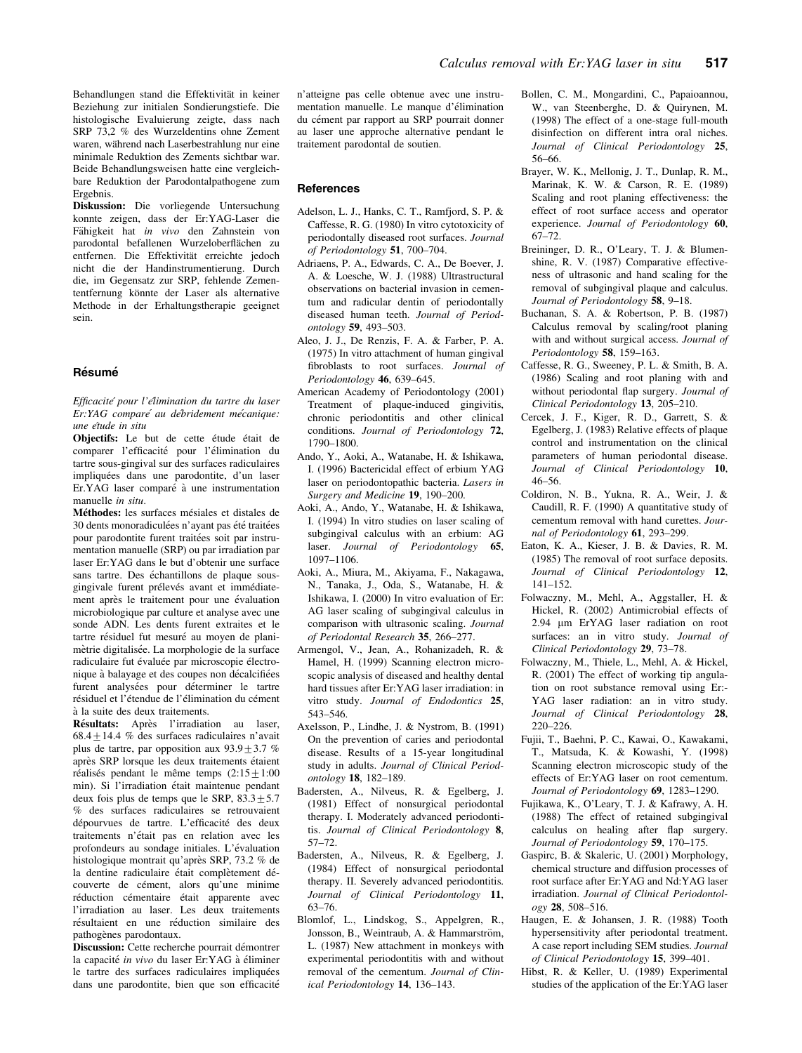Diskussion: Die vorliegende Untersuchung konnte zeigen, dass der Er:YAG-Laser die Fähigkeit hat in vivo den Zahnstein von parodontal befallenen Wurzeloberflächen zu entfernen. Die Effektivität erreichte jedoch nicht die der Handinstrumentierung. Durch die, im Gegensatz zur SRP, fehlende Zemententfernung könnte der Laser als alternative Methode in der Erhaltungstherapie geeignet sein.

## **Résumé**

Efficacité pour l'elimination du tartre du laser Er:YAG comparé au debridement mécanique: une e´tude in situ

Objectifs: Le but de cette étude était de comparer l'efficacité pour l'élimination du tartre sous-gingival sur des surfaces radiculaires impliquées dans une parodontite, d'un laser Er.YAG laser comparé à une instrumentation manuelle in situ.

Méthodes: les surfaces mésiales et distales de 30 dents monoradiculées n'ayant pas été traitées pour parodontite furent traitées soit par instrumentation manuelle (SRP) ou par irradiation par laser Er:YAG dans le but d'obtenir une surface sans tartre. Des échantillons de plaque sousgingivale furent prélevés avant et immédiatement après le traitement pour une évaluation microbiologique par culture et analyse avec une sonde ADN. Les dents furent extraites et le tartre résiduel fut mesuré au moyen de planimètrie digitalisée. La morphologie de la surface radiculaire fut évaluée par microscopie électronique à balayage et des coupes non décalcifiées furent analysées pour déterminer le tartre résiduel et l'étendue de l'élimination du cément a` la suite des deux traitements.

Résultats: Après l'irradiation au laser, 68.4 $\pm$ 14.4 % des surfaces radiculaires n'avait plus de tartre, par opposition aux  $93.9 \pm 3.7$  % après SRP lorsque les deux traitements étaient réalisés pendant le même temps  $(2:15\pm1:00)$ min). Si l'irradiation était maintenue pendant deux fois plus de temps que le SRP,  $83.3 \pm 5.7$ % des surfaces radiculaires se retrouvaient dépourvues de tartre. L'efficacité des deux traitements n'était pas en relation avec les profondeurs au sondage initiales. L'évaluation histologique montrait qu'après SRP, 73.2 % de la dentine radiculaire était complètement découverte de cément, alors qu'une minime réduction cémentaire était apparente avec l'irradiation au laser. Les deux traitements résultaient en une réduction similaire des pathogènes parodontaux.

Discussion: Cette recherche pourrait démontrer la capacité in vivo du laser Er:YAG à éliminer le tartre des surfaces radiculaires impliquées dans une parodontite, bien que son efficacité

n'atteigne pas celle obtenue avec une instrumentation manuelle. Le manque d'élimination du cément par rapport au SRP pourrait donner au laser une approche alternative pendant le traitement parodontal de soutien.

#### **References**

- Adelson, L. J., Hanks, C. T., Ramfjord, S. P. & Caffesse, R. G. (1980) In vitro cytotoxicity of periodontally diseased root surfaces. Journal of Periodontology 51, 700–704.
- Adriaens, P. A., Edwards, C. A., De Boever, J. A. & Loesche, W. J. (1988) Ultrastructural observations on bacterial invasion in cementum and radicular dentin of periodontally diseased human teeth. Journal of Periodontology 59, 493–503.
- Aleo, J. J., De Renzis, F. A. & Farber, P. A. (1975) In vitro attachment of human gingival fibroblasts to root surfaces. Journal of Periodontology 46, 639–645.
- American Academy of Periodontology (2001) Treatment of plaque-induced gingivitis, chronic periodontitis and other clinical conditions. Journal of Periodontology 72, 1790–1800.
- Ando, Y., Aoki, A., Watanabe, H. & Ishikawa, I. (1996) Bactericidal effect of erbium YAG laser on periodontopathic bacteria. Lasers in Surgery and Medicine 19, 190–200.
- Aoki, A., Ando, Y., Watanabe, H. & Ishikawa, I. (1994) In vitro studies on laser scaling of subgingival calculus with an erbium: AG laser. *Journal of Periodontology* 65, 1097–1106.
- Aoki, A., Miura, M., Akiyama, F., Nakagawa, N., Tanaka, J., Oda, S., Watanabe, H. & Ishikawa, I. (2000) In vitro evaluation of Er: AG laser scaling of subgingival calculus in comparison with ultrasonic scaling. Journal of Periodontal Research 35, 266–277.
- Armengol, V., Jean, A., Rohanizadeh, R. & Hamel, H. (1999) Scanning electron microscopic analysis of diseased and healthy dental hard tissues after Er:YAG laser irradiation: in vitro study. Journal of Endodontics 25, 543–546.
- Axelsson, P., Lindhe, J. & Nystrom, B. (1991) On the prevention of caries and periodontal disease. Results of a 15-year longitudinal study in adults. Journal of Clinical Periodontology 18, 182–189.
- Badersten, A., Nilveus, R. & Egelberg, J. (1981) Effect of nonsurgical periodontal therapy. I. Moderately advanced periodontitis. Journal of Clinical Periodontology 8, 57–72.
- Badersten, A., Nilveus, R. & Egelberg, J. (1984) Effect of nonsurgical periodontal therapy. II. Severely advanced periodontitis. Journal of Clinical Periodontology 11, 63–76.
- Blomlof, L., Lindskog, S., Appelgren, R., Jonsson, B., Weintraub, A. & Hammarström, L. (1987) New attachment in monkeys with experimental periodontitis with and without removal of the cementum. Journal of Clinical Periodontology 14, 136–143.
- Bollen, C. M., Mongardini, C., Papaioannou, W., van Steenberghe, D. & Quirynen, M. (1998) The effect of a one-stage full-mouth disinfection on different intra oral niches. Journal of Clinical Periodontology 25, 56–66.
- Brayer, W. K., Mellonig, J. T., Dunlap, R. M., Marinak, K. W. & Carson, R. E. (1989) Scaling and root planing effectiveness: the effect of root surface access and operator experience. Journal of Periodontology 60, 67–72.
- Breininger, D. R., O'Leary, T. J. & Blumenshine, R. V. (1987) Comparative effectiveness of ultrasonic and hand scaling for the removal of subgingival plaque and calculus. Journal of Periodontology 58, 9-18.
- Buchanan, S. A. & Robertson, P. B. (1987) Calculus removal by scaling/root planing with and without surgical access. Journal of Periodontology 58, 159-163.
- Caffesse, R. G., Sweeney, P. L. & Smith, B. A. (1986) Scaling and root planing with and without periodontal flap surgery. Journal of Clinical Periodontology 13, 205–210.
- Cercek, J. F., Kiger, R. D., Garrett, S. & Egelberg, J. (1983) Relative effects of plaque control and instrumentation on the clinical parameters of human periodontal disease. Journal of Clinical Periodontology 10, 46–56.
- Coldiron, N. B., Yukna, R. A., Weir, J. & Caudill, R. F. (1990) A quantitative study of cementum removal with hand curettes. Journal of Periodontology 61, 293–299.
- Eaton, K. A., Kieser, J. B. & Davies, R. M. (1985) The removal of root surface deposits. Journal of Clinical Periodontology 12, 141–152.
- Folwaczny, M., Mehl, A., Aggstaller, H. & Hickel, R. (2002) Antimicrobial effects of 2.94 mm ErYAG laser radiation on root surfaces: an in vitro study. Journal of Clinical Periodontology 29, 73–78.
- Folwaczny, M., Thiele, L., Mehl, A. & Hickel, R. (2001) The effect of working tip angulation on root substance removal using Er:- YAG laser radiation: an in vitro study. Journal of Clinical Periodontology 28, 220–226.
- Fujii, T., Baehni, P. C., Kawai, O., Kawakami, T., Matsuda, K. & Kowashi, Y. (1998) Scanning electron microscopic study of the effects of Er:YAG laser on root cementum. Journal of Periodontology 69, 1283–1290.
- Fujikawa, K., O'Leary, T. J. & Kafrawy, A. H. (1988) The effect of retained subgingival calculus on healing after flap surgery. Journal of Periodontology 59, 170-175.
- Gaspirc, B. & Skaleric, U. (2001) Morphology, chemical structure and diffusion processes of root surface after Er:YAG and Nd:YAG laser irradiation. Journal of Clinical Periodontology 28, 508–516.
- Haugen, E. & Johansen, J. R. (1988) Tooth hypersensitivity after periodontal treatment. A case report including SEM studies. Journal of Clinical Periodontology 15, 399–401.
- Hibst, R. & Keller, U. (1989) Experimental studies of the application of the Er:YAG laser